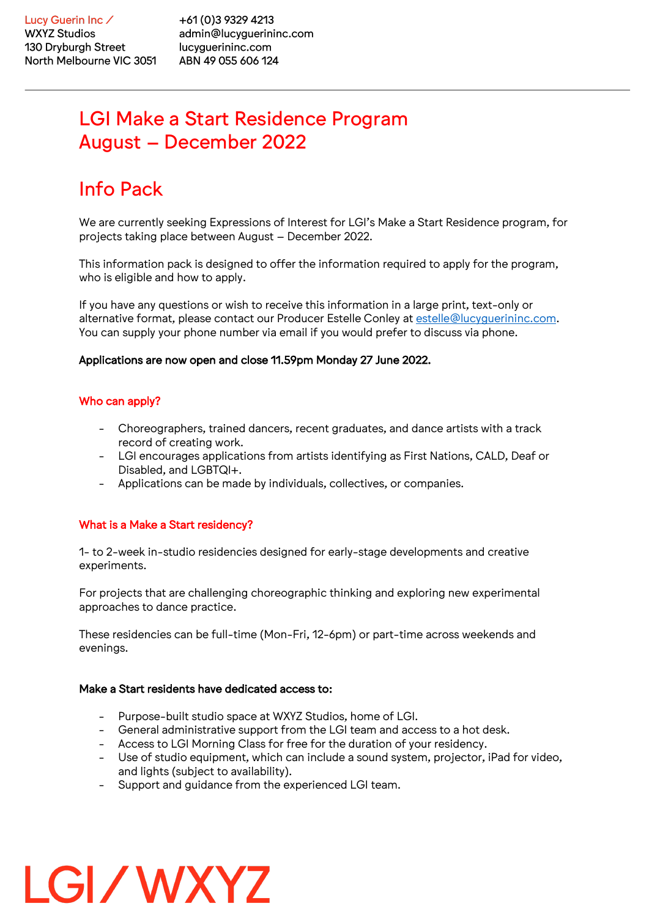+61 (0) 3 9 3 29 4 2 1 3 admin@lucyguerininc.com lucyguerininc.com ABN 49 055 606 124

## LGI Make a Start Residence Program August – December 2022

# Info Pack

We are currently seeking Expressions of Interest for LGI's Make a Start Residence program, for projects taking place between August – December 2022.

This information pack is designed to offer the information required to apply for the program, who is eligible and how to apply.

If you have any questions or wish to receive this information in a large print, text-only or alternative format, please contact our Producer Estelle Conley at estelle@lucyguerininc.com. You can supply your phone number via email if you would prefer to discuss via phone.

#### Applications are now open and close 11.59pm Monday 27 June 2022.

## Who can apply?

- Choreographers, trained dancers, recent graduates, and dance artists with a track record of creating work.
- LGI encourages applications from artists identifying as First Nations, CALD, Deaf or Disabled, and LGBTQI+.
- Applications can be made by individuals, collectives, or companies.

### What is a Make a Start residency?

LGI/WXYZ

1- to 2-week in-studio residencies designed for early-stage developments and creative experiments.

For projects that are challenging choreographic thinking and exploring new experimental approaches to dance practice.

These residencies can be full-time (Mon-Fri, 12-6pm) or part-time across weekends and evenings.

#### Make a Start residents have dedicated access to:

- Purpose-built studio space at WXYZ Studios, home of LGI.
- General administrative support from the LGI team and access to a hot desk.
- Access to LGI Morning Class for free for the duration of your residency.
- Use of studio equipment, which can include a sound system, projector, iPad for video, and lights (subject to availability).
- Support and guidance from the experienced LGI team.